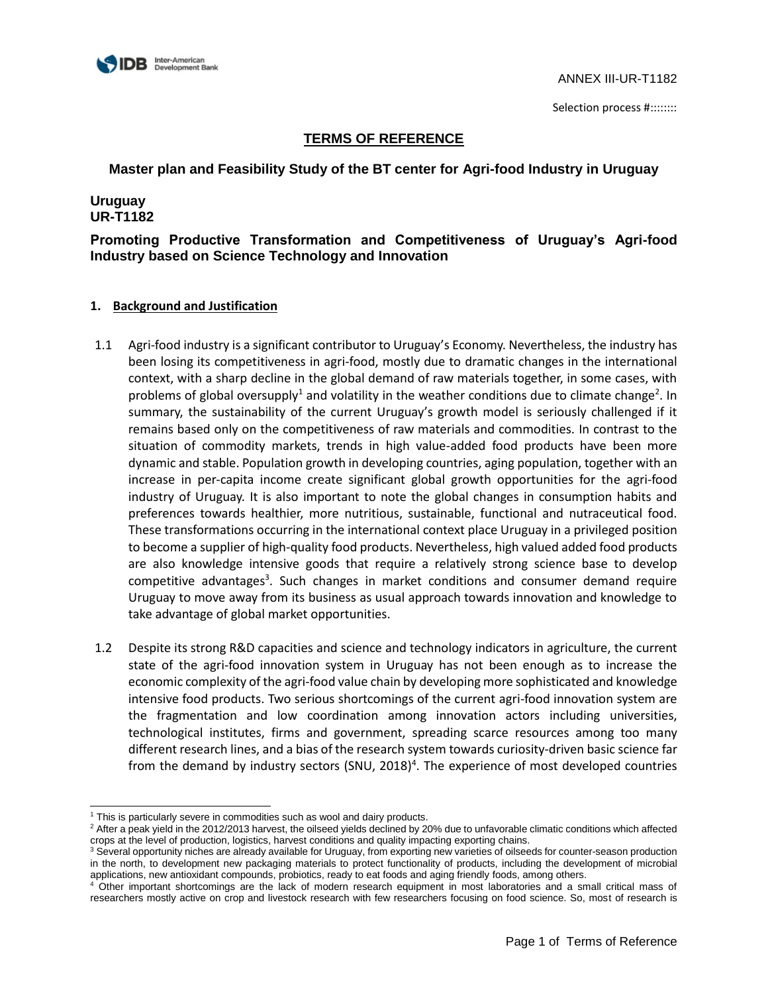

**Master plan and Feasibility Study of the BT center for Agri-food Industry in Uruguay**

# **Uruguay UR-T1182**

l

# **Promoting Productive Transformation and Competitiveness of Uruguay's Agri-food Industry based on Science Technology and Innovation**

- 1.1 Agri-food industry is a significant contributor to Uruguay's Economy. Nevertheless, the industry has been losing its competitiveness in agri-food, mostly due to dramatic changes in the international context, with a sharp decline in the global demand of raw materials together, in some cases, with problems of global oversupply<sup>1</sup> and volatility in the weather conditions due to climate change<sup>2</sup>. In summary, the sustainability of the current Uruguay's growth model is seriously challenged if it remains based only on the competitiveness of raw materials and commodities. In contrast to the situation of commodity markets, trends in high value-added food products have been more dynamic and stable. Population growth in developing countries, aging population, together with an increase in per-capita income create significant global growth opportunities for the agri-food industry of Uruguay. It is also important to note the global changes in consumption habits and preferences towards healthier, more nutritious, sustainable, functional and nutraceutical food. These transformations occurring in the international context place Uruguay in a privileged position to become a supplier of high-quality food products. Nevertheless, high valued added food products are also knowledge intensive goods that require a relatively strong science base to develop competitive advantages<sup>3</sup>. Such changes in market conditions and consumer demand require Uruguay to move away from its business as usual approach towards innovation and knowledge to take advantage of global market opportunities.
- 1.2 Despite its strong R&D capacities and science and technology indicators in agriculture, the current state of the agri-food innovation system in Uruguay has not been enough as to increase the economic complexity of the agri-food value chain by developing more sophisticated and knowledge intensive food products. Two serious shortcomings of the current agri-food innovation system are the fragmentation and low coordination among innovation actors including universities, technological institutes, firms and government, spreading scarce resources among too many different research lines, and a bias of the research system towards curiosity-driven basic science far from the demand by industry sectors (SNU, 2018)<sup>4</sup>. The experience of most developed countries

<sup>&</sup>lt;sup>1</sup> This is particularly severe in commodities such as wool and dairy products.

<sup>&</sup>lt;sup>2</sup> After a peak yield in the 2012/2013 harvest, the oilseed yields declined by 20% due to unfavorable climatic conditions which affected crops at the level of production, logistics, harvest conditions and quality impacting exporting chains.

<sup>&</sup>lt;sup>3</sup> Several opportunity niches are already available for Uruguay, from exporting new varieties of oilseeds for counter-season production in the north, to development new packaging materials to protect functionality of products, including the development of microbial applications, new antioxidant compounds, probiotics, ready to eat foods and aging friendly foods, among others.

<sup>&</sup>lt;sup>4</sup> Other important shortcomings are the lack of modern research equipment in most laboratories and a small critical mass of researchers mostly active on crop and livestock research with few researchers focusing on food science. So, most of research is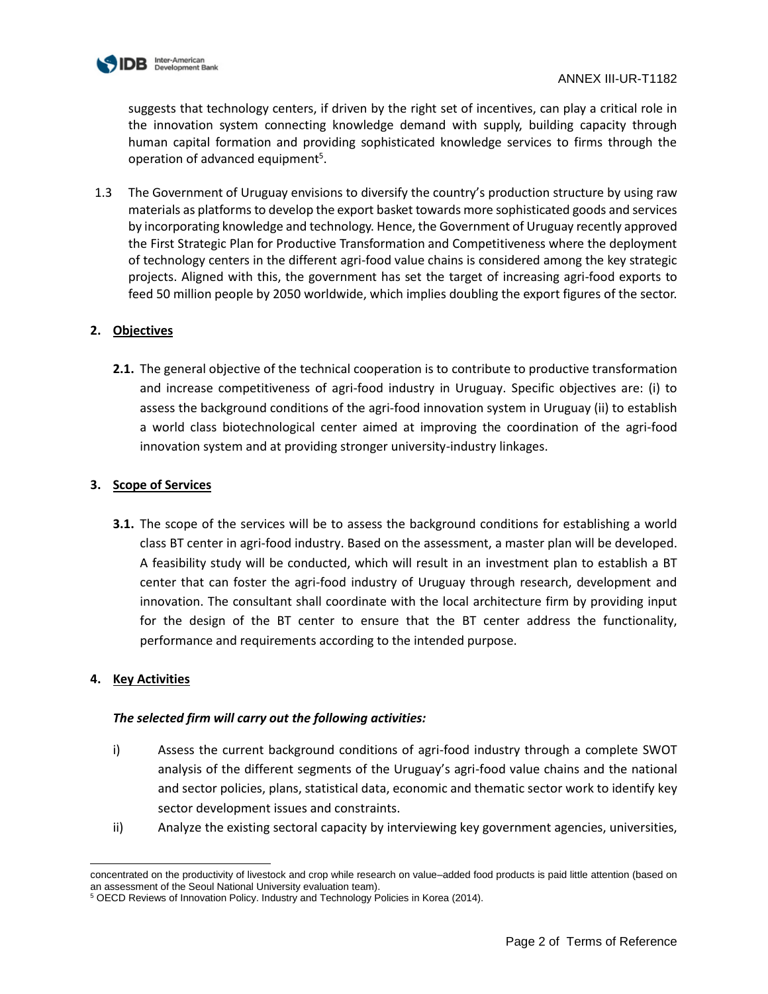

suggests that technology centers, if driven by the right set of incentives, can play a critical role in the innovation system connecting knowledge demand with supply, building capacity through human capital formation and providing sophisticated knowledge services to firms through the operation of advanced equipment<sup>5</sup>.

1.3 The Government of Uruguay envisions to diversify the country's production structure by using raw materials as platforms to develop the export basket towards more sophisticated goods and services by incorporating knowledge and technology. Hence, the Government of Uruguay recently approved the First Strategic Plan for Productive Transformation and Competitiveness where the deployment of technology centers in the different agri-food value chains is considered among the key strategic projects. Aligned with this, the government has set the target of increasing agri-food exports to feed 50 million people by 2050 worldwide, which implies doubling the export figures of the sector.

# **2. Objectives**

**2.1.** The general objective of the technical cooperation is to contribute to productive transformation and increase competitiveness of agri-food industry in Uruguay. Specific objectives are: (i) to assess the background conditions of the agri-food innovation system in Uruguay (ii) to establish a world class biotechnological center aimed at improving the coordination of the agri-food innovation system and at providing stronger university-industry linkages.

### **3. Scope of Services**

**3.1.** The scope of the services will be to assess the background conditions for establishing a world class BT center in agri-food industry. Based on the assessment, a master plan will be developed. A feasibility study will be conducted, which will result in an investment plan to establish a BT center that can foster the agri-food industry of Uruguay through research, development and innovation. The consultant shall coordinate with the local architecture firm by providing input for the design of the BT center to ensure that the BT center address the functionality, performance and requirements according to the intended purpose.

# **4. Key Activities**

# *The selected firm will carry out the following activities:*

- i) Assess the current background conditions of agri-food industry through a complete SWOT analysis of the different segments of the Uruguay's agri-food value chains and the national and sector policies, plans, statistical data, economic and thematic sector work to identify key sector development issues and constraints.
- ii) Analyze the existing sectoral capacity by interviewing key government agencies, universities,

l concentrated on the productivity of livestock and crop while research on value–added food products is paid little attention (based on an assessment of the Seoul National University evaluation team).

<sup>5</sup> OECD Reviews of Innovation Policy. Industry and Technology Policies in Korea (2014).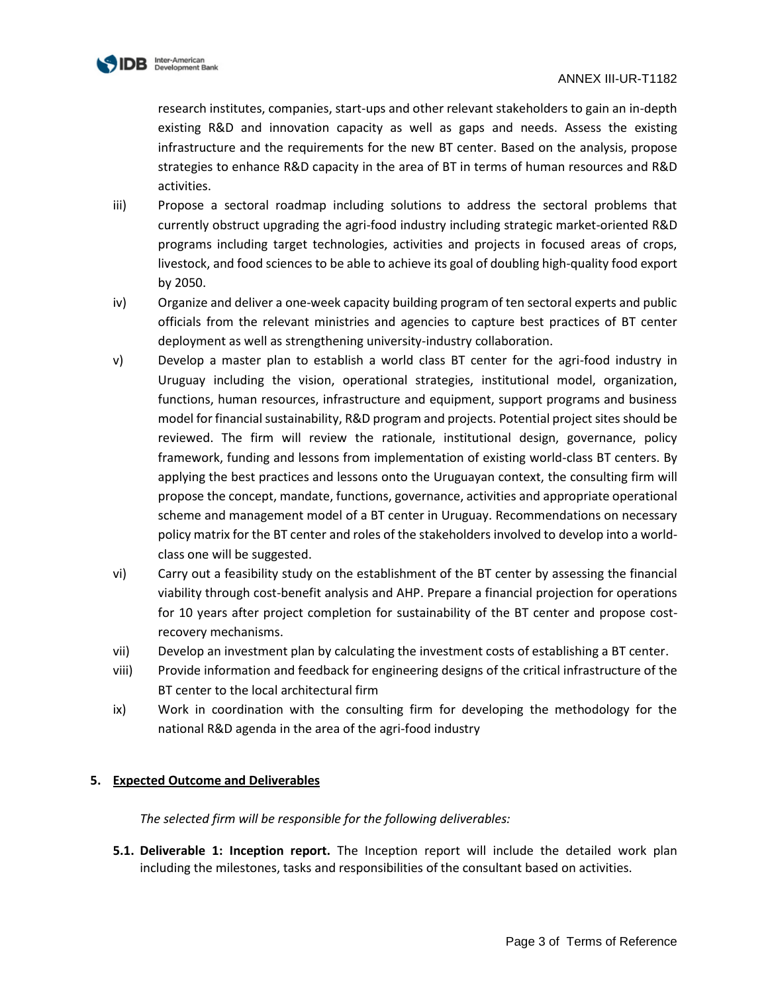

research institutes, companies, start-ups and other relevant stakeholders to gain an in-depth existing R&D and innovation capacity as well as gaps and needs. Assess the existing infrastructure and the requirements for the new BT center. Based on the analysis, propose strategies to enhance R&D capacity in the area of BT in terms of human resources and R&D activities.

- iii) Propose a sectoral roadmap including solutions to address the sectoral problems that currently obstruct upgrading the agri-food industry including strategic market-oriented R&D programs including target technologies, activities and projects in focused areas of crops, livestock, and food sciences to be able to achieve its goal of doubling high-quality food export by 2050.
- iv) Organize and deliver a one-week capacity building program of ten sectoral experts and public officials from the relevant ministries and agencies to capture best practices of BT center deployment as well as strengthening university-industry collaboration.
- v) Develop a master plan to establish a world class BT center for the agri-food industry in Uruguay including the vision, operational strategies, institutional model, organization, functions, human resources, infrastructure and equipment, support programs and business model for financial sustainability, R&D program and projects. Potential project sites should be reviewed. The firm will review the rationale, institutional design, governance, policy framework, funding and lessons from implementation of existing world-class BT centers. By applying the best practices and lessons onto the Uruguayan context, the consulting firm will propose the concept, mandate, functions, governance, activities and appropriate operational scheme and management model of a BT center in Uruguay. Recommendations on necessary policy matrix for the BT center and roles of the stakeholders involved to develop into a worldclass one will be suggested.
- vi) Carry out a feasibility study on the establishment of the BT center by assessing the financial viability through cost-benefit analysis and AHP. Prepare a financial projection for operations for 10 years after project completion for sustainability of the BT center and propose costrecovery mechanisms.
- vii) Develop an investment plan by calculating the investment costs of establishing a BT center.
- viii) Provide information and feedback for engineering designs of the critical infrastructure of the BT center to the local architectural firm
- ix) Work in coordination with the consulting firm for developing the methodology for the national R&D agenda in the area of the agri-food industry

# **5. Expected Outcome and Deliverables**

*The selected firm will be responsible for the following deliverables:* 

**5.1. Deliverable 1: Inception report.** The Inception report will include the detailed work plan including the milestones, tasks and responsibilities of the consultant based on activities.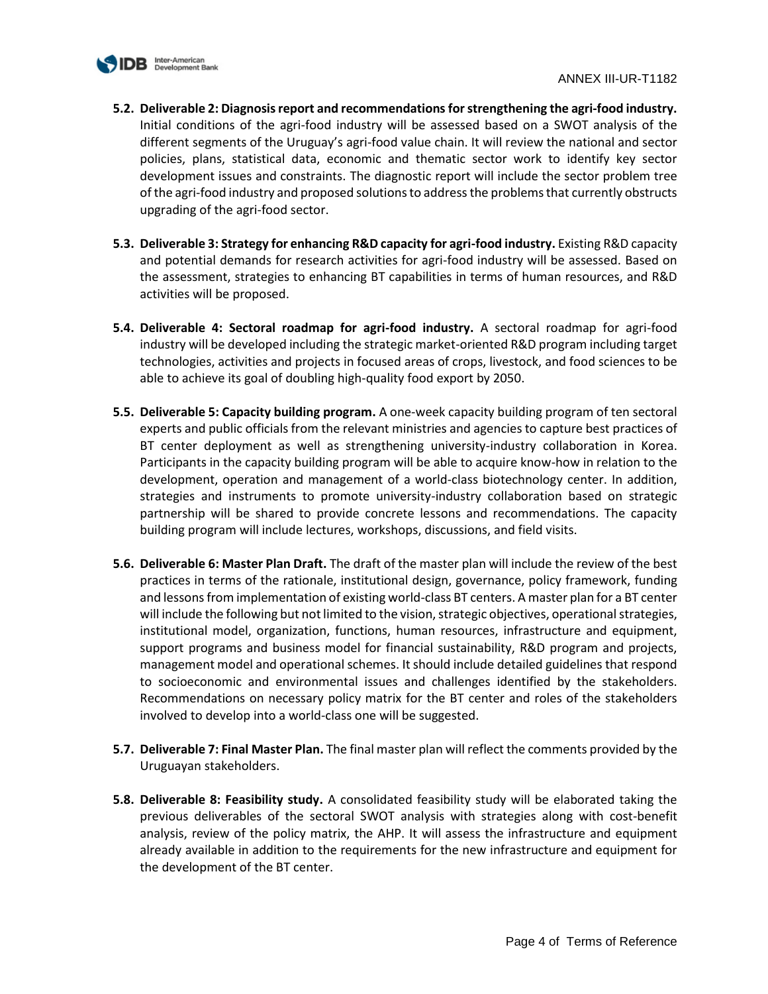

- **5.2. Deliverable 2: Diagnosis report and recommendationsfor strengthening the agri-food industry.** Initial conditions of the agri-food industry will be assessed based on a SWOT analysis of the different segments of the Uruguay's agri-food value chain. It will review the national and sector policies, plans, statistical data, economic and thematic sector work to identify key sector development issues and constraints. The diagnostic report will include the sector problem tree of the agri-food industry and proposed solutions to address the problems that currently obstructs upgrading of the agri-food sector.
- **5.3. Deliverable 3: Strategy for enhancing R&D capacity for agri-food industry.** Existing R&D capacity and potential demands for research activities for agri-food industry will be assessed. Based on the assessment, strategies to enhancing BT capabilities in terms of human resources, and R&D activities will be proposed.
- **5.4. Deliverable 4: Sectoral roadmap for agri-food industry.** A sectoral roadmap for agri-food industry will be developed including the strategic market-oriented R&D program including target technologies, activities and projects in focused areas of crops, livestock, and food sciences to be able to achieve its goal of doubling high-quality food export by 2050.
- **5.5. Deliverable 5: Capacity building program.** A one-week capacity building program of ten sectoral experts and public officials from the relevant ministries and agencies to capture best practices of BT center deployment as well as strengthening university-industry collaboration in Korea. Participants in the capacity building program will be able to acquire know-how in relation to the development, operation and management of a world-class biotechnology center. In addition, strategies and instruments to promote university-industry collaboration based on strategic partnership will be shared to provide concrete lessons and recommendations. The capacity building program will include lectures, workshops, discussions, and field visits.
- **5.6. Deliverable 6: Master Plan Draft.** The draft of the master plan will include the review of the best practices in terms of the rationale, institutional design, governance, policy framework, funding and lessons from implementation of existing world-class BT centers. A master plan for a BT center will include the following but not limited to the vision, strategic objectives, operational strategies, institutional model, organization, functions, human resources, infrastructure and equipment, support programs and business model for financial sustainability, R&D program and projects, management model and operational schemes. It should include detailed guidelines that respond to socioeconomic and environmental issues and challenges identified by the stakeholders. Recommendations on necessary policy matrix for the BT center and roles of the stakeholders involved to develop into a world-class one will be suggested.
- **5.7. Deliverable 7: Final Master Plan.** The final master plan will reflect the comments provided by the Uruguayan stakeholders.
- **5.8. Deliverable 8: Feasibility study.** A consolidated feasibility study will be elaborated taking the previous deliverables of the sectoral SWOT analysis with strategies along with cost-benefit analysis, review of the policy matrix, the AHP. It will assess the infrastructure and equipment already available in addition to the requirements for the new infrastructure and equipment for the development of the BT center.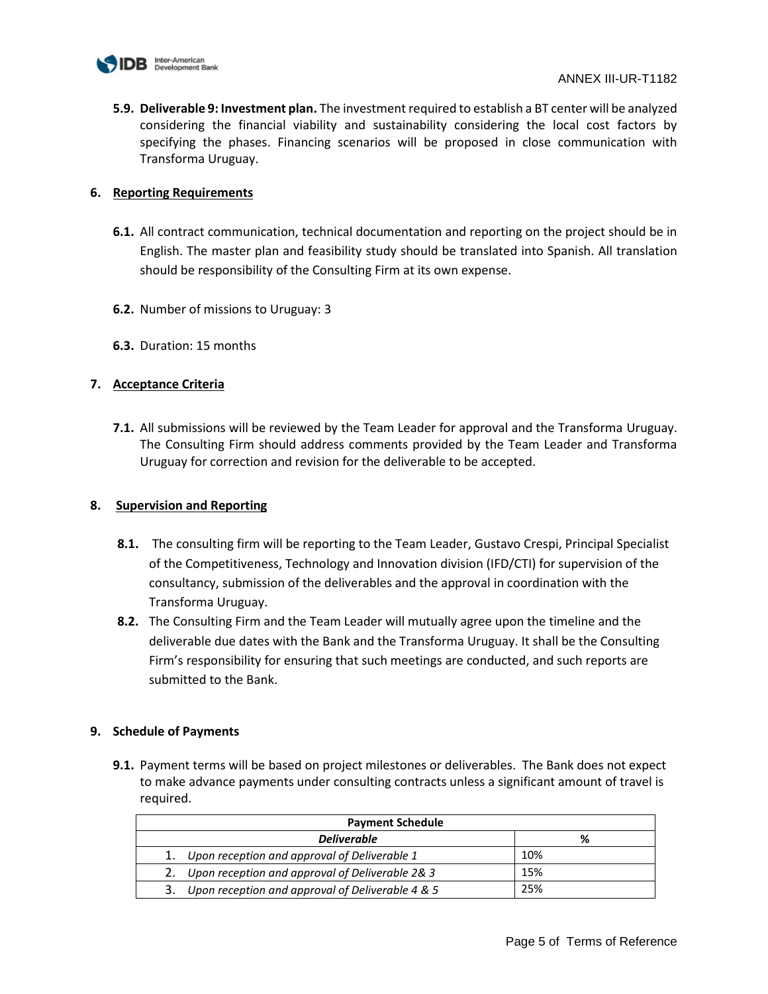

**5.9. Deliverable 9: Investment plan.** The investment required to establish a BT center will be analyzed considering the financial viability and sustainability considering the local cost factors by specifying the phases. Financing scenarios will be proposed in close communication with Transforma Uruguay.

### **6. Reporting Requirements**

- **6.1.** All contract communication, technical documentation and reporting on the project should be in English. The master plan and feasibility study should be translated into Spanish. All translation should be responsibility of the Consulting Firm at its own expense.
- **6.2.** Number of missions to Uruguay: 3
- **6.3.** Duration: 15 months

# **7. Acceptance Criteria**

**7.1.** All submissions will be reviewed by the Team Leader for approval and the Transforma Uruguay. The Consulting Firm should address comments provided by the Team Leader and Transforma Uruguay for correction and revision for the deliverable to be accepted.

# **8. Supervision and Reporting**

- **8.1.** The consulting firm will be reporting to the Team Leader, Gustavo Crespi, Principal Specialist of the Competitiveness, Technology and Innovation division (IFD/CTI) for supervision of the consultancy, submission of the deliverables and the approval in coordination with the Transforma Uruguay.
- **8.2.** The Consulting Firm and the Team Leader will mutually agree upon the timeline and the deliverable due dates with the Bank and the Transforma Uruguay. It shall be the Consulting Firm's responsibility for ensuring that such meetings are conducted, and such reports are submitted to the Bank.

# **9. Schedule of Payments**

| <b>Payment Schedule</b>                               |     |  |
|-------------------------------------------------------|-----|--|
| <b>Deliverable</b>                                    | %   |  |
| 1. Upon reception and approval of Deliverable 1       | 10% |  |
| Upon reception and approval of Deliverable 2& 3<br>2. | 15% |  |
| Upon reception and approval of Deliverable 4 & 5      | 25% |  |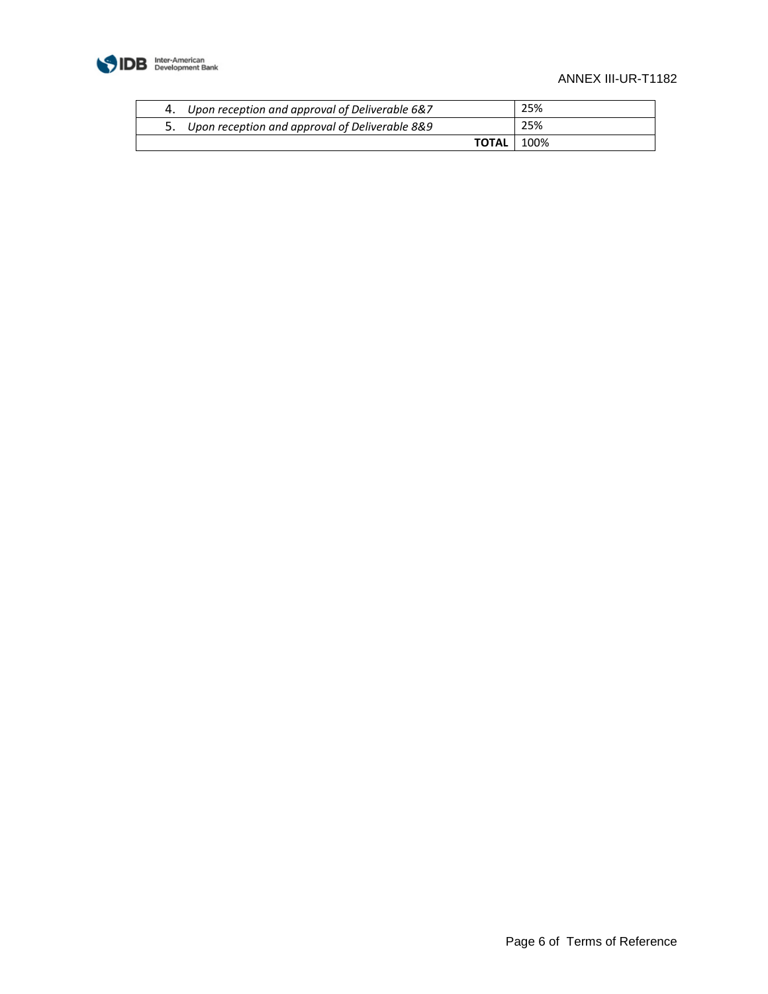

# ANNEX III-UR-T1182

| 4. Upon reception and approval of Deliverable 6&7 | 25%  |
|---------------------------------------------------|------|
| 5. Upon reception and approval of Deliverable 8&9 | 25%  |
| <b>TOTAL</b> I                                    | 100% |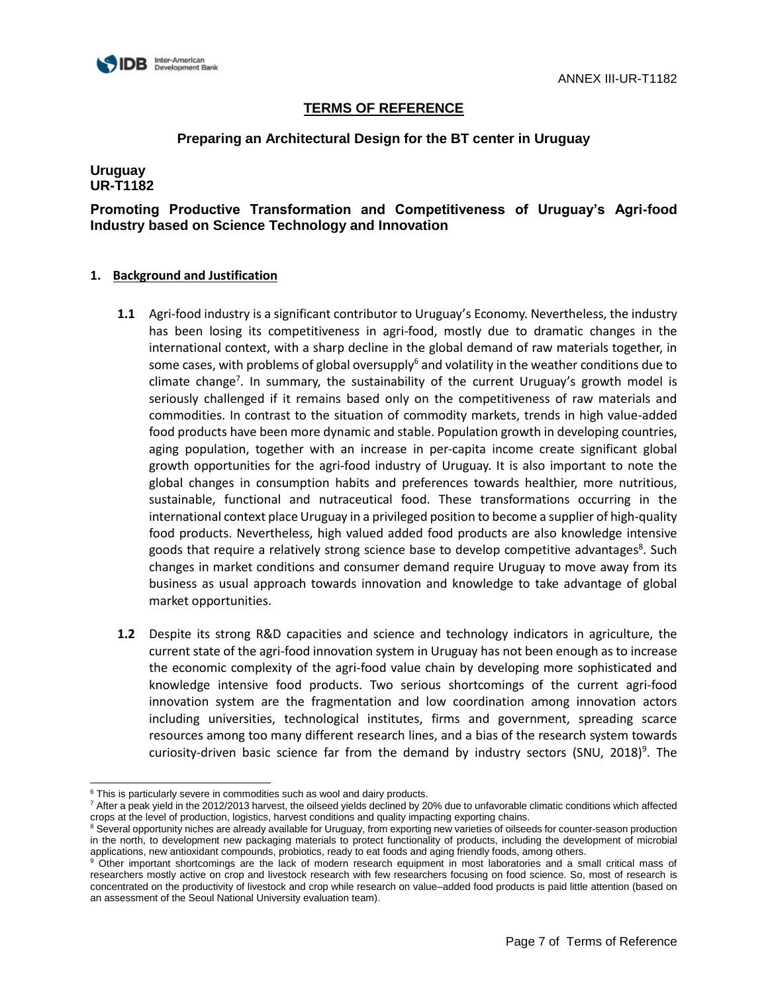

# **Preparing an Architectural Design for the BT center in Uruguay**

# **Uruguay UR-T1182**

**Promoting Productive Transformation and Competitiveness of Uruguay's Agri-food Industry based on Science Technology and Innovation** 

- **1.1** Agri-food industry is a significant contributor to Uruguay's Economy. Nevertheless, the industry has been losing its competitiveness in agri-food, mostly due to dramatic changes in the international context, with a sharp decline in the global demand of raw materials together, in some cases, with problems of global oversupply<sup>6</sup> and volatility in the weather conditions due to climate change<sup>7</sup>. In summary, the sustainability of the current Uruguay's growth model is seriously challenged if it remains based only on the competitiveness of raw materials and commodities. In contrast to the situation of commodity markets, trends in high value-added food products have been more dynamic and stable. Population growth in developing countries, aging population, together with an increase in per-capita income create significant global growth opportunities for the agri-food industry of Uruguay. It is also important to note the global changes in consumption habits and preferences towards healthier, more nutritious, sustainable, functional and nutraceutical food. These transformations occurring in the international context place Uruguay in a privileged position to become a supplier of high-quality food products. Nevertheless, high valued added food products are also knowledge intensive goods that require a relatively strong science base to develop competitive advantages<sup>8</sup>. Such changes in market conditions and consumer demand require Uruguay to move away from its business as usual approach towards innovation and knowledge to take advantage of global market opportunities.
- **1.2** Despite its strong R&D capacities and science and technology indicators in agriculture, the current state of the agri-food innovation system in Uruguay has not been enough as to increase the economic complexity of the agri-food value chain by developing more sophisticated and knowledge intensive food products. Two serious shortcomings of the current agri-food innovation system are the fragmentation and low coordination among innovation actors including universities, technological institutes, firms and government, spreading scarce resources among too many different research lines, and a bias of the research system towards curiosity-driven basic science far from the demand by industry sectors (SNU, 2018)<sup>9</sup>. The

l  $6$  This is particularly severe in commodities such as wool and dairy products.

<sup>7</sup> After a peak yield in the 2012/2013 harvest, the oilseed yields declined by 20% due to unfavorable climatic conditions which affected crops at the level of production, logistics, harvest conditions and quality impacting exporting chains.

<sup>&</sup>lt;sup>8</sup> Several opportunity niches are already available for Uruguay, from exporting new varieties of oilseeds for counter-season production in the north, to development new packaging materials to protect functionality of products, including the development of microbial applications, new antioxidant compounds, probiotics, ready to eat foods and aging friendly foods, among others.

other important shortcomings are the lack of modern research equipment in most laboratories and a small critical mass of researchers mostly active on crop and livestock research with few researchers focusing on food science. So, most of research is concentrated on the productivity of livestock and crop while research on value–added food products is paid little attention (based on an assessment of the Seoul National University evaluation team).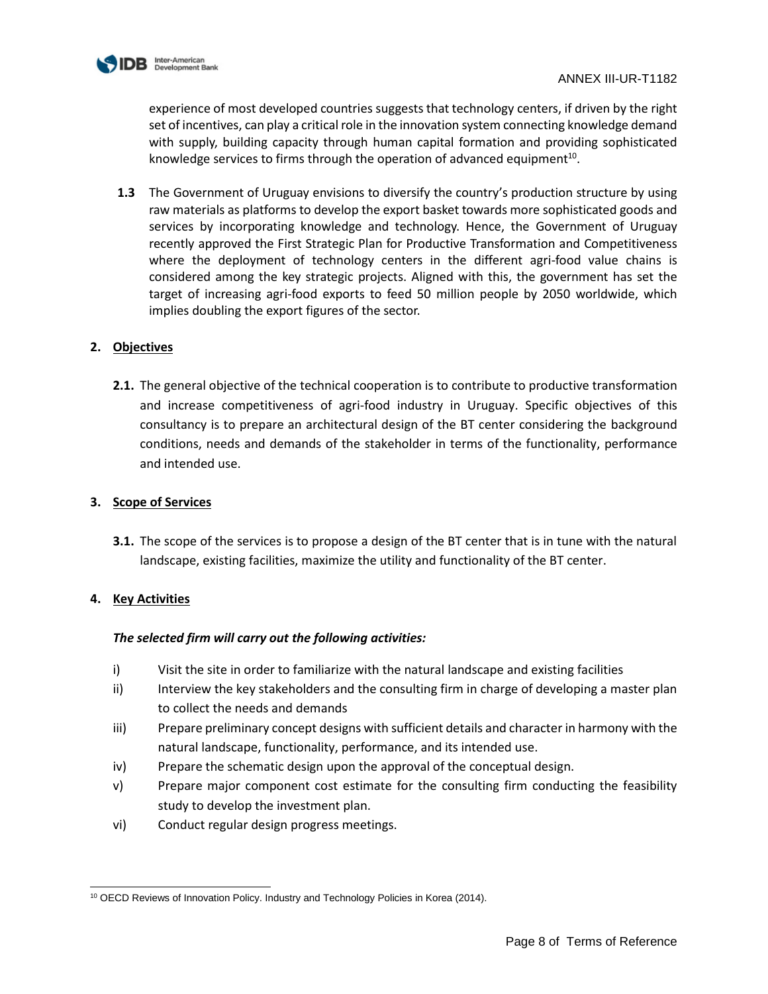

experience of most developed countries suggests that technology centers, if driven by the right set of incentives, can play a critical role in the innovation system connecting knowledge demand with supply, building capacity through human capital formation and providing sophisticated knowledge services to firms through the operation of advanced equipment<sup>10</sup>.

**1.3** The Government of Uruguay envisions to diversify the country's production structure by using raw materials as platforms to develop the export basket towards more sophisticated goods and services by incorporating knowledge and technology. Hence, the Government of Uruguay recently approved the First Strategic Plan for Productive Transformation and Competitiveness where the deployment of technology centers in the different agri-food value chains is considered among the key strategic projects. Aligned with this, the government has set the target of increasing agri-food exports to feed 50 million people by 2050 worldwide, which implies doubling the export figures of the sector.

# **2. Objectives**

**2.1.** The general objective of the technical cooperation is to contribute to productive transformation and increase competitiveness of agri-food industry in Uruguay. Specific objectives of this consultancy is to prepare an architectural design of the BT center considering the background conditions, needs and demands of the stakeholder in terms of the functionality, performance and intended use.

# **3. Scope of Services**

**3.1.** The scope of the services is to propose a design of the BT center that is in tune with the natural landscape, existing facilities, maximize the utility and functionality of the BT center.

# **4. Key Activities**

# *The selected firm will carry out the following activities:*

- i) Visit the site in order to familiarize with the natural landscape and existing facilities
- ii) Interview the key stakeholders and the consulting firm in charge of developing a master plan to collect the needs and demands
- iii) Prepare preliminary concept designs with sufficient details and character in harmony with the natural landscape, functionality, performance, and its intended use.
- iv) Prepare the schematic design upon the approval of the conceptual design.
- v) Prepare major component cost estimate for the consulting firm conducting the feasibility study to develop the investment plan.
- vi) Conduct regular design progress meetings.

l <sup>10</sup> OECD Reviews of Innovation Policy. Industry and Technology Policies in Korea (2014).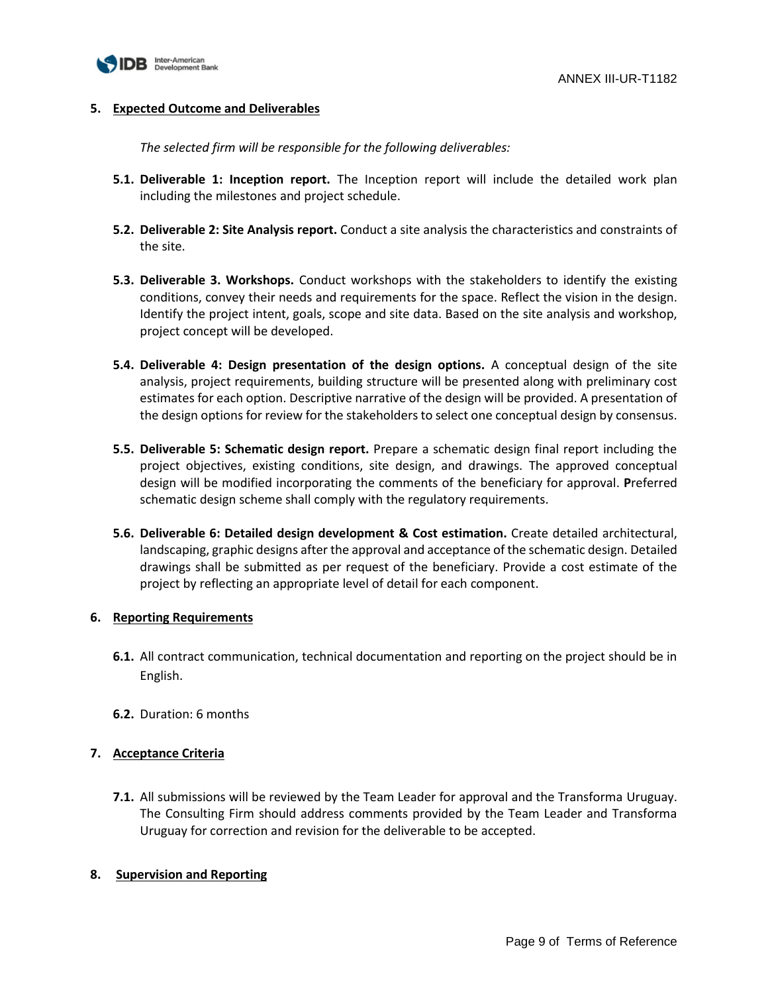

### **5. Expected Outcome and Deliverables**

*The selected firm will be responsible for the following deliverables:* 

- **5.1. Deliverable 1: Inception report.** The Inception report will include the detailed work plan including the milestones and project schedule.
- **5.2. Deliverable 2: Site Analysis report.** Conduct a site analysis the characteristics and constraints of the site.
- **5.3. Deliverable 3. Workshops.** Conduct workshops with the stakeholders to identify the existing conditions, convey their needs and requirements for the space. Reflect the vision in the design. Identify the project intent, goals, scope and site data. Based on the site analysis and workshop, project concept will be developed.
- **5.4. Deliverable 4: Design presentation of the design options.** A conceptual design of the site analysis, project requirements, building structure will be presented along with preliminary cost estimates for each option. Descriptive narrative of the design will be provided. A presentation of the design options for review for the stakeholders to select one conceptual design by consensus.
- **5.5. Deliverable 5: Schematic design report.** Prepare a schematic design final report including the project objectives, existing conditions, site design, and drawings. The approved conceptual design will be modified incorporating the comments of the beneficiary for approval. **P**referred schematic design scheme shall comply with the regulatory requirements.
- **5.6. Deliverable 6: Detailed design development & Cost estimation.** Create detailed architectural, landscaping, graphic designs after the approval and acceptance of the schematic design. Detailed drawings shall be submitted as per request of the beneficiary. Provide a cost estimate of the project by reflecting an appropriate level of detail for each component.

# **6. Reporting Requirements**

- **6.1.** All contract communication, technical documentation and reporting on the project should be in English.
- **6.2.** Duration: 6 months

# **7. Acceptance Criteria**

**7.1.** All submissions will be reviewed by the Team Leader for approval and the Transforma Uruguay. The Consulting Firm should address comments provided by the Team Leader and Transforma Uruguay for correction and revision for the deliverable to be accepted.

#### **8. Supervision and Reporting**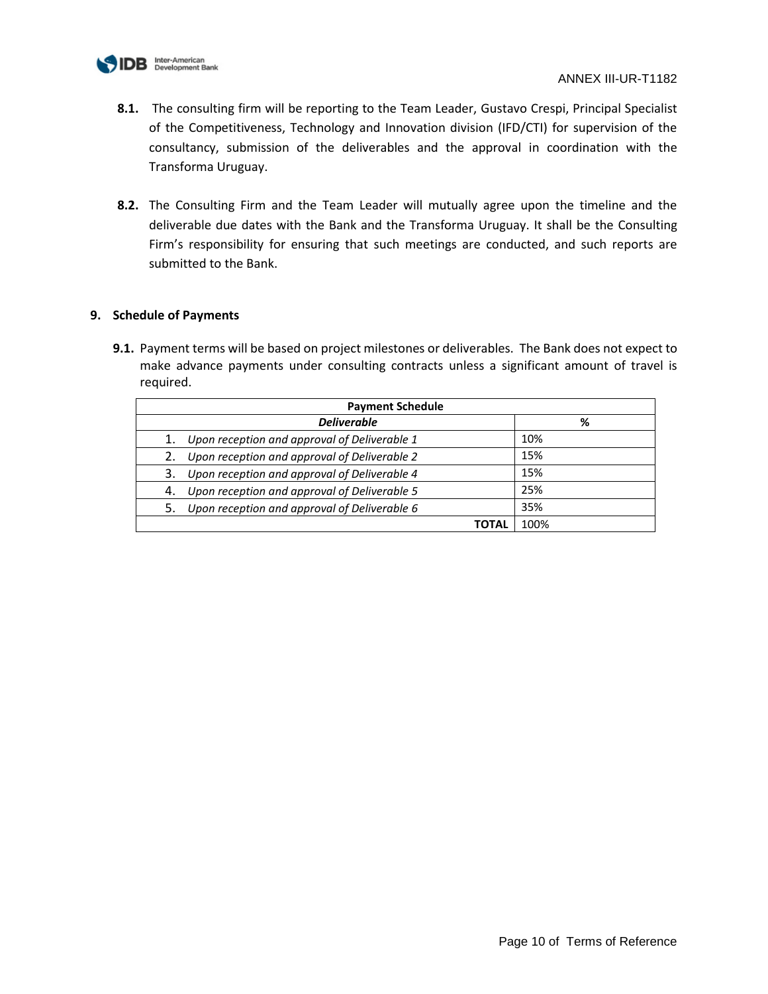

- **8.1.** The consulting firm will be reporting to the Team Leader, Gustavo Crespi, Principal Specialist of the Competitiveness, Technology and Innovation division (IFD/CTI) for supervision of the consultancy, submission of the deliverables and the approval in coordination with the Transforma Uruguay.
- **8.2.** The Consulting Firm and the Team Leader will mutually agree upon the timeline and the deliverable due dates with the Bank and the Transforma Uruguay. It shall be the Consulting Firm's responsibility for ensuring that such meetings are conducted, and such reports are submitted to the Bank.

# **9. Schedule of Payments**

| <b>Payment Schedule</b> |                                                 |      |
|-------------------------|-------------------------------------------------|------|
|                         | <b>Deliverable</b>                              | %    |
|                         | 1. Upon reception and approval of Deliverable 1 | 10%  |
|                         | 2. Upon reception and approval of Deliverable 2 | 15%  |
| 3.                      | Upon reception and approval of Deliverable 4    | 15%  |
| 4.                      | Upon reception and approval of Deliverable 5    | 25%  |
| 5.                      | Upon reception and approval of Deliverable 6    | 35%  |
|                         | ΤΟΤΑL                                           | 100% |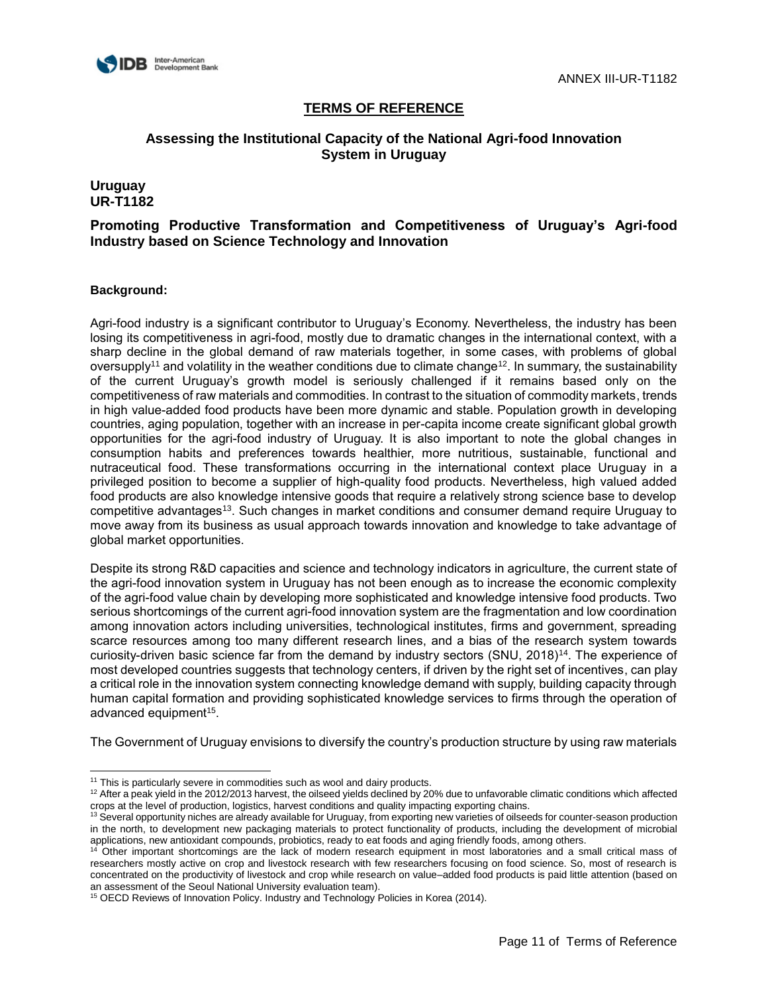

# **Assessing the Institutional Capacity of the National Agri-food Innovation System in Uruguay**

### **Uruguay UR-T1182**

# **Promoting Productive Transformation and Competitiveness of Uruguay's Agri-food Industry based on Science Technology and Innovation**

#### **Background:**

l

Agri-food industry is a significant contributor to Uruguay's Economy. Nevertheless, the industry has been losing its competitiveness in agri-food, mostly due to dramatic changes in the international context, with a sharp decline in the global demand of raw materials together, in some cases, with problems of global oversupply<sup>11</sup> and volatility in the weather conditions due to climate change<sup>12</sup>. In summary, the sustainability of the current Uruguay's growth model is seriously challenged if it remains based only on the competitiveness of raw materials and commodities. In contrast to the situation of commodity markets, trends in high value-added food products have been more dynamic and stable. Population growth in developing countries, aging population, together with an increase in per-capita income create significant global growth opportunities for the agri-food industry of Uruguay. It is also important to note the global changes in consumption habits and preferences towards healthier, more nutritious, sustainable, functional and nutraceutical food. These transformations occurring in the international context place Uruguay in a privileged position to become a supplier of high-quality food products. Nevertheless, high valued added food products are also knowledge intensive goods that require a relatively strong science base to develop competitive advantages<sup>13</sup>. Such changes in market conditions and consumer demand require Uruguay to move away from its business as usual approach towards innovation and knowledge to take advantage of global market opportunities.

Despite its strong R&D capacities and science and technology indicators in agriculture, the current state of the agri-food innovation system in Uruguay has not been enough as to increase the economic complexity of the agri-food value chain by developing more sophisticated and knowledge intensive food products. Two serious shortcomings of the current agri-food innovation system are the fragmentation and low coordination among innovation actors including universities, technological institutes, firms and government, spreading scarce resources among too many different research lines, and a bias of the research system towards curiosity-driven basic science far from the demand by industry sectors (SNU, 2018)<sup>14</sup>. The experience of most developed countries suggests that technology centers, if driven by the right set of incentives, can play a critical role in the innovation system connecting knowledge demand with supply, building capacity through human capital formation and providing sophisticated knowledge services to firms through the operation of advanced equipment<sup>15</sup>.

The Government of Uruguay envisions to diversify the country's production structure by using raw materials

 $11$  This is particularly severe in commodities such as wool and dairy products.

 $12$  After a peak yield in the 2012/2013 harvest, the oilseed yields declined by 20% due to unfavorable climatic conditions which affected crops at the level of production, logistics, harvest conditions and quality impacting exporting chains.

 $13$  Several opportunity niches are already available for Uruguay, from exporting new varieties of oilseeds for counter-season production in the north, to development new packaging materials to protect functionality of products, including the development of microbial applications, new antioxidant compounds, probiotics, ready to eat foods and aging friendly foods, among others.

<sup>&</sup>lt;sup>14</sup> Other important shortcomings are the lack of modern research equipment in most laboratories and a small critical mass of researchers mostly active on crop and livestock research with few researchers focusing on food science. So, most of research is concentrated on the productivity of livestock and crop while research on value–added food products is paid little attention (based on an assessment of the Seoul National University evaluation team).

<sup>&</sup>lt;sup>15</sup> OECD Reviews of Innovation Policy. Industry and Technology Policies in Korea (2014).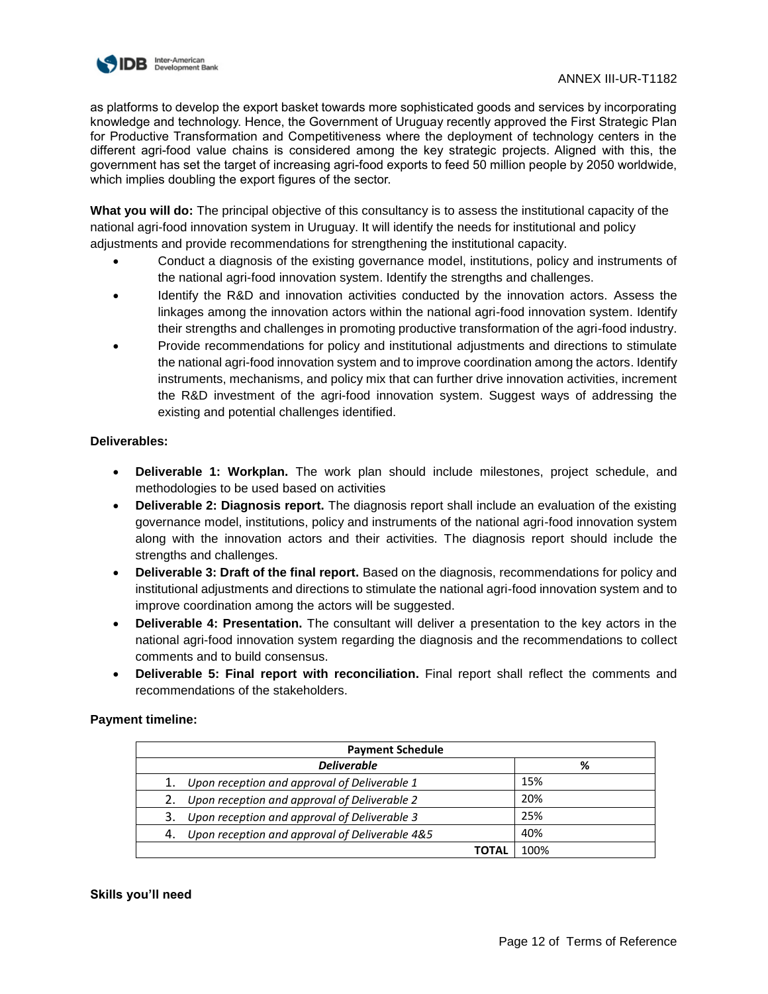

as platforms to develop the export basket towards more sophisticated goods and services by incorporating knowledge and technology. Hence, the Government of Uruguay recently approved the First Strategic Plan for Productive Transformation and Competitiveness where the deployment of technology centers in the different agri-food value chains is considered among the key strategic projects. Aligned with this, the government has set the target of increasing agri-food exports to feed 50 million people by 2050 worldwide, which implies doubling the export figures of the sector.

**What you will do:** The principal objective of this consultancy is to assess the institutional capacity of the national agri-food innovation system in Uruguay. It will identify the needs for institutional and policy adjustments and provide recommendations for strengthening the institutional capacity.

- Conduct a diagnosis of the existing governance model, institutions, policy and instruments of the national agri-food innovation system. Identify the strengths and challenges.
- Identify the R&D and innovation activities conducted by the innovation actors. Assess the linkages among the innovation actors within the national agri-food innovation system. Identify their strengths and challenges in promoting productive transformation of the agri-food industry.
- Provide recommendations for policy and institutional adjustments and directions to stimulate the national agri-food innovation system and to improve coordination among the actors. Identify instruments, mechanisms, and policy mix that can further drive innovation activities, increment the R&D investment of the agri-food innovation system. Suggest ways of addressing the existing and potential challenges identified.

# **Deliverables:**

- **Deliverable 1: Workplan.** The work plan should include milestones, project schedule, and methodologies to be used based on activities
- **Deliverable 2: Diagnosis report.** The diagnosis report shall include an evaluation of the existing governance model, institutions, policy and instruments of the national agri-food innovation system along with the innovation actors and their activities. The diagnosis report should include the strengths and challenges.
- **Deliverable 3: Draft of the final report.** Based on the diagnosis, recommendations for policy and institutional adjustments and directions to stimulate the national agri-food innovation system and to improve coordination among the actors will be suggested.
- **Deliverable 4: Presentation.** The consultant will deliver a presentation to the key actors in the national agri-food innovation system regarding the diagnosis and the recommendations to collect comments and to build consensus.
- **Deliverable 5: Final report with reconciliation.** Final report shall reflect the comments and recommendations of the stakeholders.

# **Payment timeline:**

| <b>Payment Schedule</b> |                                                 |      |
|-------------------------|-------------------------------------------------|------|
|                         | <b>Deliverable</b>                              | %    |
|                         | Upon reception and approval of Deliverable 1    | 15%  |
|                         | 2. Upon reception and approval of Deliverable 2 | 20%  |
| 3.                      | Upon reception and approval of Deliverable 3    | 25%  |
| 4.                      | Upon reception and approval of Deliverable 4&5  | 40%  |
|                         | <b>TOTAL</b>                                    | 100% |

#### **Skills you'll need**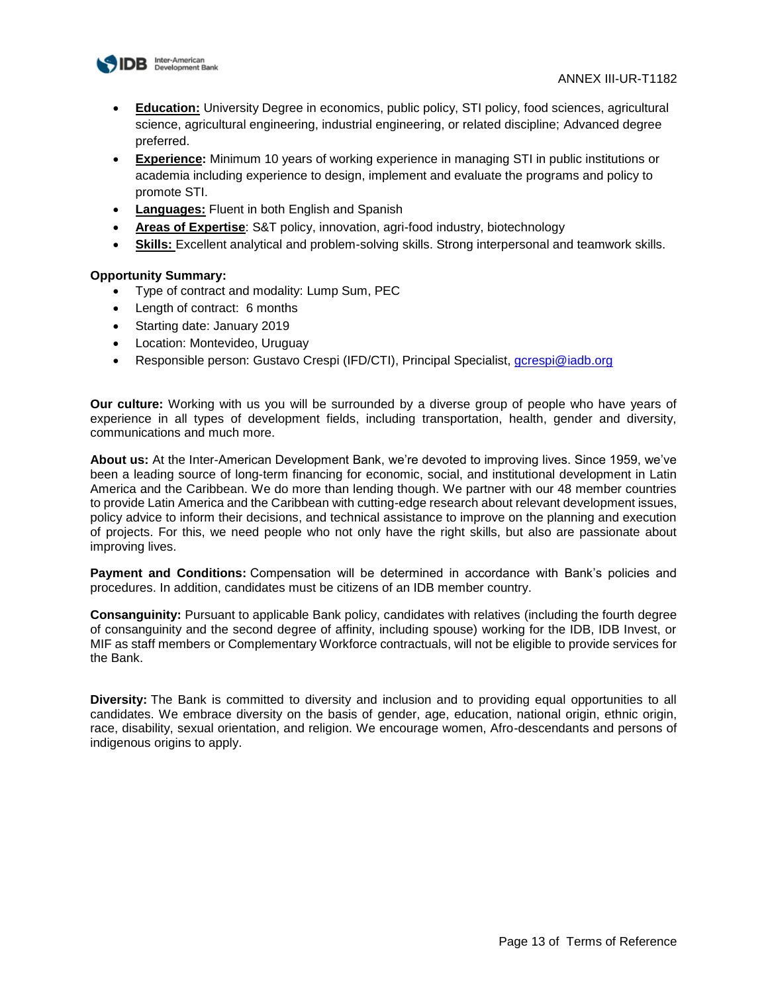

- **Education:** University Degree in economics, public policy, STI policy, food sciences, agricultural science, agricultural engineering, industrial engineering, or related discipline; Advanced degree preferred.
- **Experience:** Minimum 10 years of working experience in managing STI in public institutions or academia including experience to design, implement and evaluate the programs and policy to promote STI.
- **Languages:** Fluent in both English and Spanish
- **Areas of Expertise**: S&T policy, innovation, agri-food industry, biotechnology
- **Skills:** Excellent analytical and problem-solving skills. Strong interpersonal and teamwork skills.

#### **Opportunity Summary:**

- Type of contract and modality: Lump Sum, PEC
- Length of contract: 6 months
- Starting date: January 2019
- Location: Montevideo, Uruguay
- Responsible person: Gustavo Crespi (IFD/CTI), Principal Specialist, [gcrespi@iadb.org](mailto:gcrespi@iadb.org)

**Our culture:** Working with us you will be surrounded by a diverse group of people who have years of experience in all types of development fields, including transportation, health, gender and diversity, communications and much more.

**About us:** At the Inter-American Development Bank, we're devoted to improving lives. Since 1959, we've been a leading source of long-term financing for economic, social, and institutional development in Latin America and the Caribbean. We do more than lending though. We partner with our 48 member countries to provide Latin America and the Caribbean with cutting-edge research about relevant development issues, policy advice to inform their decisions, and technical assistance to improve on the planning and execution of projects. For this, we need people who not only have the right skills, but also are passionate about improving lives.

**Payment and Conditions:** Compensation will be determined in accordance with Bank's policies and procedures. In addition, candidates must be citizens of an IDB member country.

**Consanguinity:** Pursuant to applicable Bank policy, candidates with relatives (including the fourth degree of consanguinity and the second degree of affinity, including spouse) working for the IDB, IDB Invest, or MIF as staff members or Complementary Workforce contractuals, will not be eligible to provide services for the Bank.

**Diversity:** The Bank is committed to diversity and inclusion and to providing equal opportunities to all candidates. We embrace diversity on the basis of gender, age, education, national origin, ethnic origin, race, disability, sexual orientation, and religion. We encourage women, Afro-descendants and persons of indigenous origins to apply.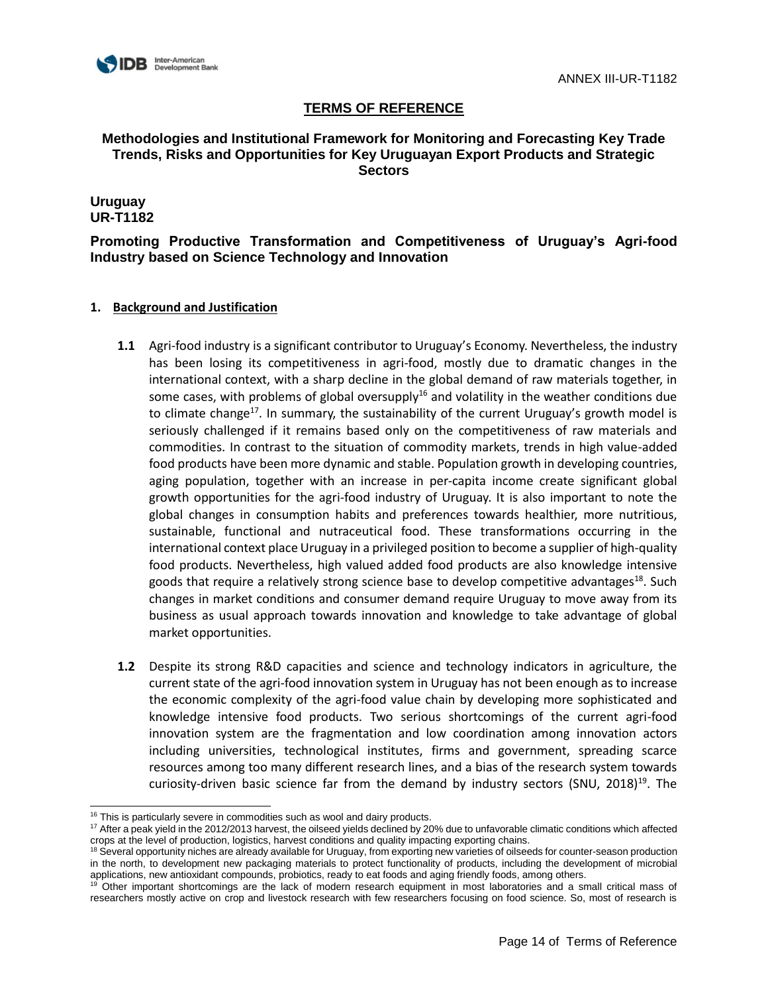

# **Methodologies and Institutional Framework for Monitoring and Forecasting Key Trade Trends, Risks and Opportunities for Key Uruguayan Export Products and Strategic Sectors**

# **Uruguay UR-T1182**

# **Promoting Productive Transformation and Competitiveness of Uruguay's Agri-food Industry based on Science Technology and Innovation**

- **1.1** Agri-food industry is a significant contributor to Uruguay's Economy. Nevertheless, the industry has been losing its competitiveness in agri-food, mostly due to dramatic changes in the international context, with a sharp decline in the global demand of raw materials together, in some cases, with problems of global oversupply<sup>16</sup> and volatility in the weather conditions due to climate change<sup>17</sup>. In summary, the sustainability of the current Uruguay's growth model is seriously challenged if it remains based only on the competitiveness of raw materials and commodities. In contrast to the situation of commodity markets, trends in high value-added food products have been more dynamic and stable. Population growth in developing countries, aging population, together with an increase in per-capita income create significant global growth opportunities for the agri-food industry of Uruguay. It is also important to note the global changes in consumption habits and preferences towards healthier, more nutritious, sustainable, functional and nutraceutical food. These transformations occurring in the international context place Uruguay in a privileged position to become a supplier of high-quality food products. Nevertheless, high valued added food products are also knowledge intensive goods that require a relatively strong science base to develop competitive advantages<sup>18</sup>. Such changes in market conditions and consumer demand require Uruguay to move away from its business as usual approach towards innovation and knowledge to take advantage of global market opportunities.
- **1.2** Despite its strong R&D capacities and science and technology indicators in agriculture, the current state of the agri-food innovation system in Uruguay has not been enough as to increase the economic complexity of the agri-food value chain by developing more sophisticated and knowledge intensive food products. Two serious shortcomings of the current agri-food innovation system are the fragmentation and low coordination among innovation actors including universities, technological institutes, firms and government, spreading scarce resources among too many different research lines, and a bias of the research system towards curiosity-driven basic science far from the demand by industry sectors (SNU,  $2018$ )<sup>19</sup>. The

l  $16$  This is particularly severe in commodities such as wool and dairy products.

<sup>&</sup>lt;sup>17</sup> After a peak yield in the 2012/2013 harvest, the oilseed yields declined by 20% due to unfavorable climatic conditions which affected crops at the level of production, logistics, harvest conditions and quality impacting exporting chains.

<sup>&</sup>lt;sup>18</sup> Several opportunity niches are already available for Uruguay, from exporting new varieties of oilseeds for counter-season production in the north, to development new packaging materials to protect functionality of products, including the development of microbial applications, new antioxidant compounds, probiotics, ready to eat foods and aging friendly foods, among others.

<sup>&</sup>lt;sup>19</sup> Other important shortcomings are the lack of modern research equipment in most laboratories and a small critical mass of researchers mostly active on crop and livestock research with few researchers focusing on food science. So, most of research is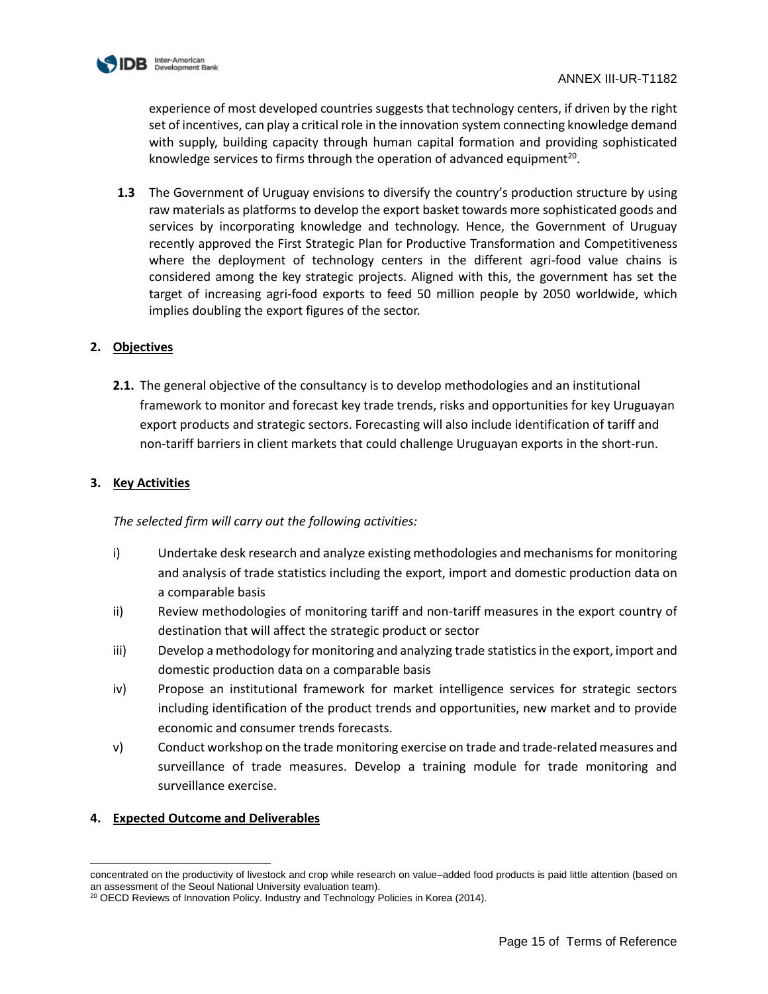

experience of most developed countries suggests that technology centers, if driven by the right set of incentives, can play a critical role in the innovation system connecting knowledge demand with supply, building capacity through human capital formation and providing sophisticated knowledge services to firms through the operation of advanced equipment<sup>20</sup>.

**1.3** The Government of Uruguay envisions to diversify the country's production structure by using raw materials as platforms to develop the export basket towards more sophisticated goods and services by incorporating knowledge and technology. Hence, the Government of Uruguay recently approved the First Strategic Plan for Productive Transformation and Competitiveness where the deployment of technology centers in the different agri-food value chains is considered among the key strategic projects. Aligned with this, the government has set the target of increasing agri-food exports to feed 50 million people by 2050 worldwide, which implies doubling the export figures of the sector.

### **2. Objectives**

**2.1.** The general objective of the consultancy is to develop methodologies and an institutional framework to monitor and forecast key trade trends, risks and opportunities for key Uruguayan export products and strategic sectors. Forecasting will also include identification of tariff and non-tariff barriers in client markets that could challenge Uruguayan exports in the short-run.

# **3. Key Activities**

*The selected firm will carry out the following activities:* 

- i) Undertake desk research and analyze existing methodologies and mechanisms for monitoring and analysis of trade statistics including the export, import and domestic production data on a comparable basis
- ii) Review methodologies of monitoring tariff and non-tariff measures in the export country of destination that will affect the strategic product or sector
- iii) Develop a methodology for monitoring and analyzing trade statistics in the export, import and domestic production data on a comparable basis
- iv) Propose an institutional framework for market intelligence services for strategic sectors including identification of the product trends and opportunities, new market and to provide economic and consumer trends forecasts.
- v) Conduct workshop on the trade monitoring exercise on trade and trade-related measures and surveillance of trade measures. Develop a training module for trade monitoring and surveillance exercise.

#### **4. Expected Outcome and Deliverables**

l concentrated on the productivity of livestock and crop while research on value–added food products is paid little attention (based on an assessment of the Seoul National University evaluation team).

<sup>&</sup>lt;sup>20</sup> OECD Reviews of Innovation Policy. Industry and Technology Policies in Korea (2014).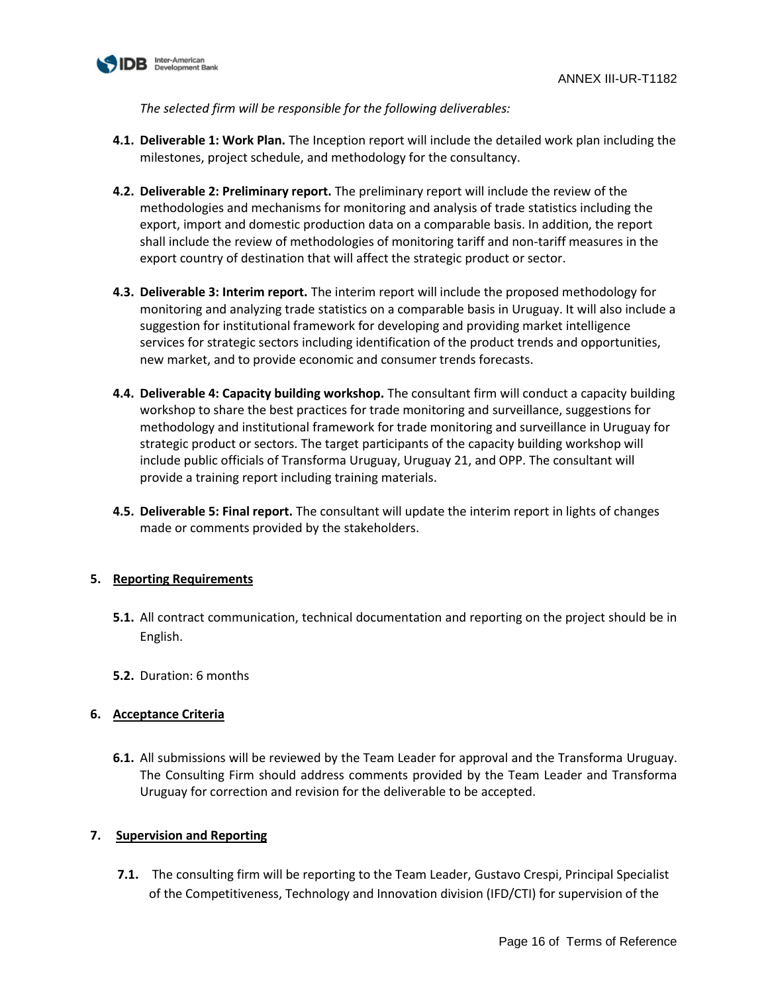

*The selected firm will be responsible for the following deliverables:* 

- **4.1. Deliverable 1: Work Plan.** The Inception report will include the detailed work plan including the milestones, project schedule, and methodology for the consultancy.
- **4.2. Deliverable 2: Preliminary report.** The preliminary report will include the review of the methodologies and mechanisms for monitoring and analysis of trade statistics including the export, import and domestic production data on a comparable basis. In addition, the report shall include the review of methodologies of monitoring tariff and non-tariff measures in the export country of destination that will affect the strategic product or sector.
- **4.3. Deliverable 3: Interim report.** The interim report will include the proposed methodology for monitoring and analyzing trade statistics on a comparable basis in Uruguay. It will also include a suggestion for institutional framework for developing and providing market intelligence services for strategic sectors including identification of the product trends and opportunities, new market, and to provide economic and consumer trends forecasts.
- **4.4. Deliverable 4: Capacity building workshop.** The consultant firm will conduct a capacity building workshop to share the best practices for trade monitoring and surveillance, suggestions for methodology and institutional framework for trade monitoring and surveillance in Uruguay for strategic product or sectors. The target participants of the capacity building workshop will include public officials of Transforma Uruguay, Uruguay 21, and OPP. The consultant will provide a training report including training materials.
- **4.5. Deliverable 5: Final report.** The consultant will update the interim report in lights of changes made or comments provided by the stakeholders.

# **5. Reporting Requirements**

- **5.1.** All contract communication, technical documentation and reporting on the project should be in English.
- **5.2.** Duration: 6 months

# **6. Acceptance Criteria**

**6.1.** All submissions will be reviewed by the Team Leader for approval and the Transforma Uruguay. The Consulting Firm should address comments provided by the Team Leader and Transforma Uruguay for correction and revision for the deliverable to be accepted.

# **7. Supervision and Reporting**

**7.1.** The consulting firm will be reporting to the Team Leader, Gustavo Crespi, Principal Specialist of the Competitiveness, Technology and Innovation division (IFD/CTI) for supervision of the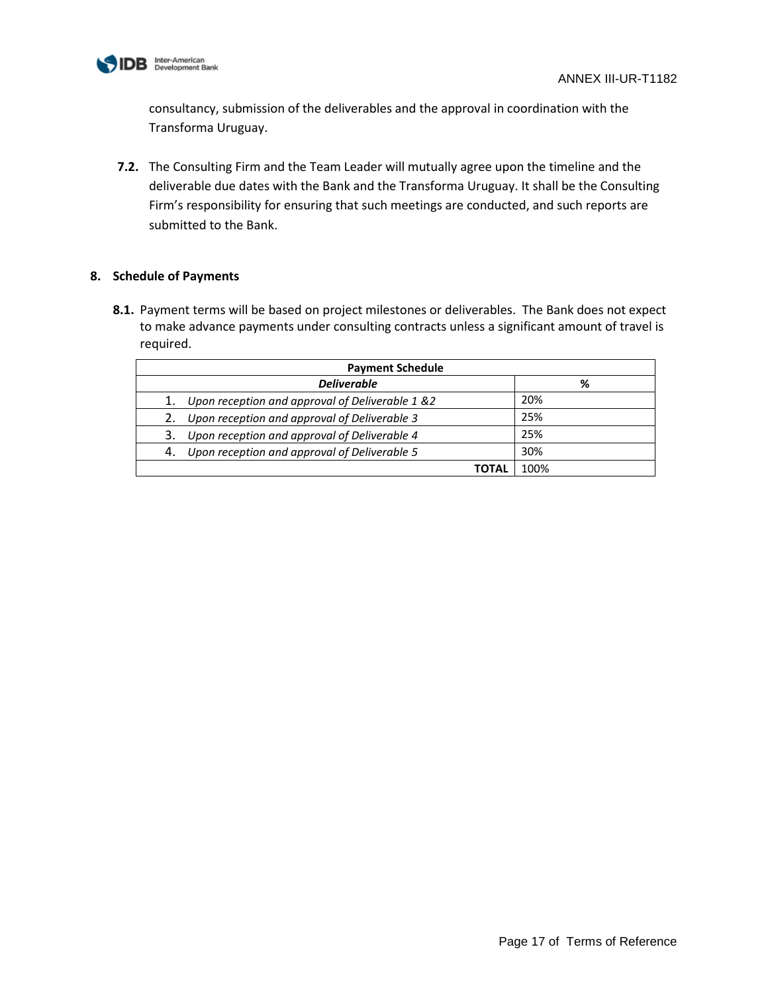

consultancy, submission of the deliverables and the approval in coordination with the Transforma Uruguay.

**7.2.** The Consulting Firm and the Team Leader will mutually agree upon the timeline and the deliverable due dates with the Bank and the Transforma Uruguay. It shall be the Consulting Firm's responsibility for ensuring that such meetings are conducted, and such reports are submitted to the Bank.

# **8. Schedule of Payments**

| <b>Payment Schedule</b>                               |      |  |
|-------------------------------------------------------|------|--|
| <b>Deliverable</b>                                    | %    |  |
| Upon reception and approval of Deliverable 1 &2<br>1. | 20%  |  |
| Upon reception and approval of Deliverable 3          | 25%  |  |
| Upon reception and approval of Deliverable 4<br>3.    | 25%  |  |
| Upon reception and approval of Deliverable 5<br>4.    | 30%  |  |
| <b>TOTAL</b>                                          | 100% |  |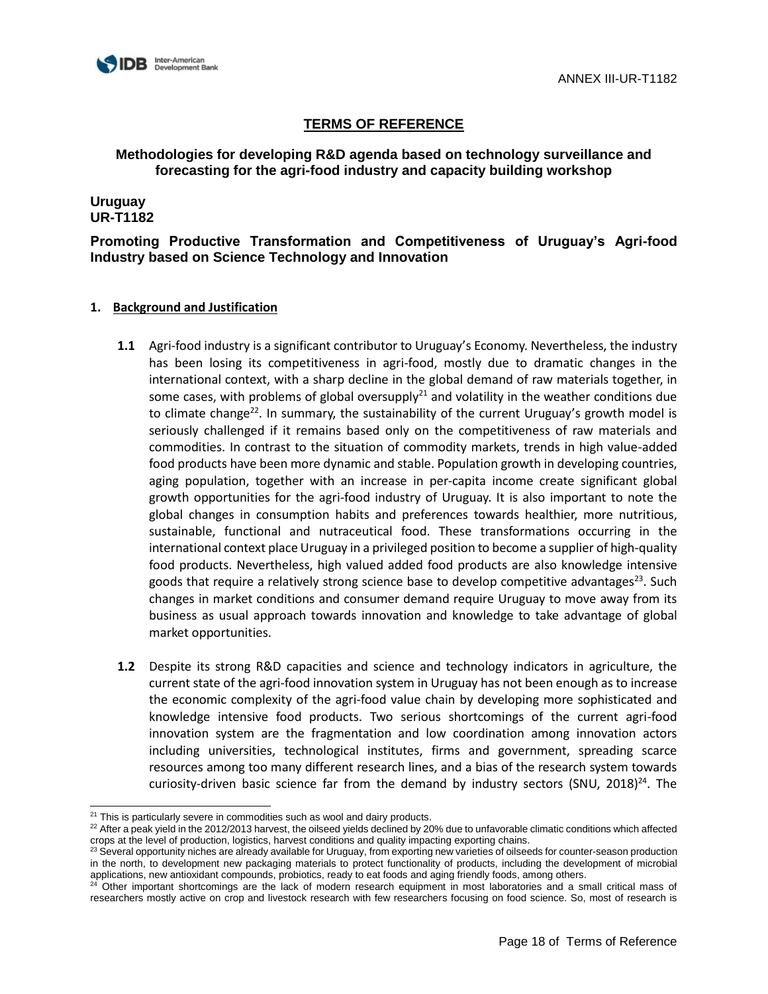

**Methodologies for developing R&D agenda based on technology surveillance and forecasting for the agri-food industry and capacity building workshop**

**Uruguay UR-T1182** 

**Promoting Productive Transformation and Competitiveness of Uruguay's Agri-food Industry based on Science Technology and Innovation** 

- **1.1** Agri-food industry is a significant contributor to Uruguay's Economy. Nevertheless, the industry has been losing its competitiveness in agri-food, mostly due to dramatic changes in the international context, with a sharp decline in the global demand of raw materials together, in some cases, with problems of global oversupply<sup>21</sup> and volatility in the weather conditions due to climate change<sup>22</sup>. In summary, the sustainability of the current Uruguay's growth model is seriously challenged if it remains based only on the competitiveness of raw materials and commodities. In contrast to the situation of commodity markets, trends in high value-added food products have been more dynamic and stable. Population growth in developing countries, aging population, together with an increase in per-capita income create significant global growth opportunities for the agri-food industry of Uruguay. It is also important to note the global changes in consumption habits and preferences towards healthier, more nutritious, sustainable, functional and nutraceutical food. These transformations occurring in the international context place Uruguay in a privileged position to become a supplier of high-quality food products. Nevertheless, high valued added food products are also knowledge intensive goods that require a relatively strong science base to develop competitive advantages<sup>23</sup>. Such changes in market conditions and consumer demand require Uruguay to move away from its business as usual approach towards innovation and knowledge to take advantage of global market opportunities.
- **1.2** Despite its strong R&D capacities and science and technology indicators in agriculture, the current state of the agri-food innovation system in Uruguay has not been enough as to increase the economic complexity of the agri-food value chain by developing more sophisticated and knowledge intensive food products. Two serious shortcomings of the current agri-food innovation system are the fragmentation and low coordination among innovation actors including universities, technological institutes, firms and government, spreading scarce resources among too many different research lines, and a bias of the research system towards curiosity-driven basic science far from the demand by industry sectors (SNU,  $2018$ )<sup>24</sup>. The

l  $21$  This is particularly severe in commodities such as wool and dairy products.

 $^{22}$  After a peak yield in the 2012/2013 harvest, the oilseed yields declined by 20% due to unfavorable climatic conditions which affected crops at the level of production, logistics, harvest conditions and quality impacting exporting chains.

<sup>&</sup>lt;sup>23</sup> Several opportunity niches are already available for Uruguay, from exporting new varieties of oilseeds for counter-season production in the north, to development new packaging materials to protect functionality of products, including the development of microbial applications, new antioxidant compounds, probiotics, ready to eat foods and aging friendly foods, among others.

<sup>&</sup>lt;sup>24</sup> Other important shortcomings are the lack of modern research equipment in most laboratories and a small critical mass of researchers mostly active on crop and livestock research with few researchers focusing on food science. So, most of research is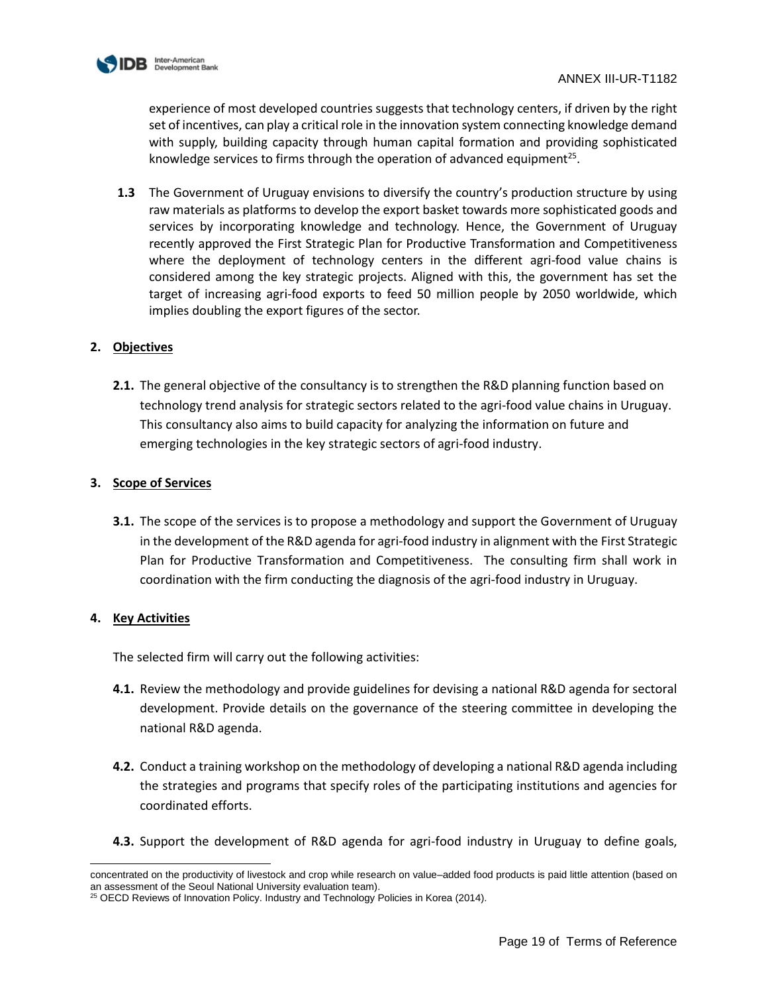

experience of most developed countries suggests that technology centers, if driven by the right set of incentives, can play a critical role in the innovation system connecting knowledge demand with supply, building capacity through human capital formation and providing sophisticated knowledge services to firms through the operation of advanced equipment<sup>25</sup>.

**1.3** The Government of Uruguay envisions to diversify the country's production structure by using raw materials as platforms to develop the export basket towards more sophisticated goods and services by incorporating knowledge and technology. Hence, the Government of Uruguay recently approved the First Strategic Plan for Productive Transformation and Competitiveness where the deployment of technology centers in the different agri-food value chains is considered among the key strategic projects. Aligned with this, the government has set the target of increasing agri-food exports to feed 50 million people by 2050 worldwide, which implies doubling the export figures of the sector.

# **2. Objectives**

**2.1.** The general objective of the consultancy is to strengthen the R&D planning function based on technology trend analysis for strategic sectors related to the agri-food value chains in Uruguay. This consultancy also aims to build capacity for analyzing the information on future and emerging technologies in the key strategic sectors of agri-food industry.

### **3. Scope of Services**

**3.1.** The scope of the services is to propose a methodology and support the Government of Uruguay in the development of the R&D agenda for agri-food industry in alignment with the First Strategic Plan for Productive Transformation and Competitiveness. The consulting firm shall work in coordination with the firm conducting the diagnosis of the agri-food industry in Uruguay.

# **4. Key Activities**

The selected firm will carry out the following activities:

- **4.1.** Review the methodology and provide guidelines for devising a national R&D agenda for sectoral development. Provide details on the governance of the steering committee in developing the national R&D agenda.
- **4.2.** Conduct a training workshop on the methodology of developing a national R&D agenda including the strategies and programs that specify roles of the participating institutions and agencies for coordinated efforts.
- **4.3.** Support the development of R&D agenda for agri-food industry in Uruguay to define goals,

l concentrated on the productivity of livestock and crop while research on value–added food products is paid little attention (based on an assessment of the Seoul National University evaluation team).

<sup>&</sup>lt;sup>25</sup> OECD Reviews of Innovation Policy. Industry and Technology Policies in Korea (2014).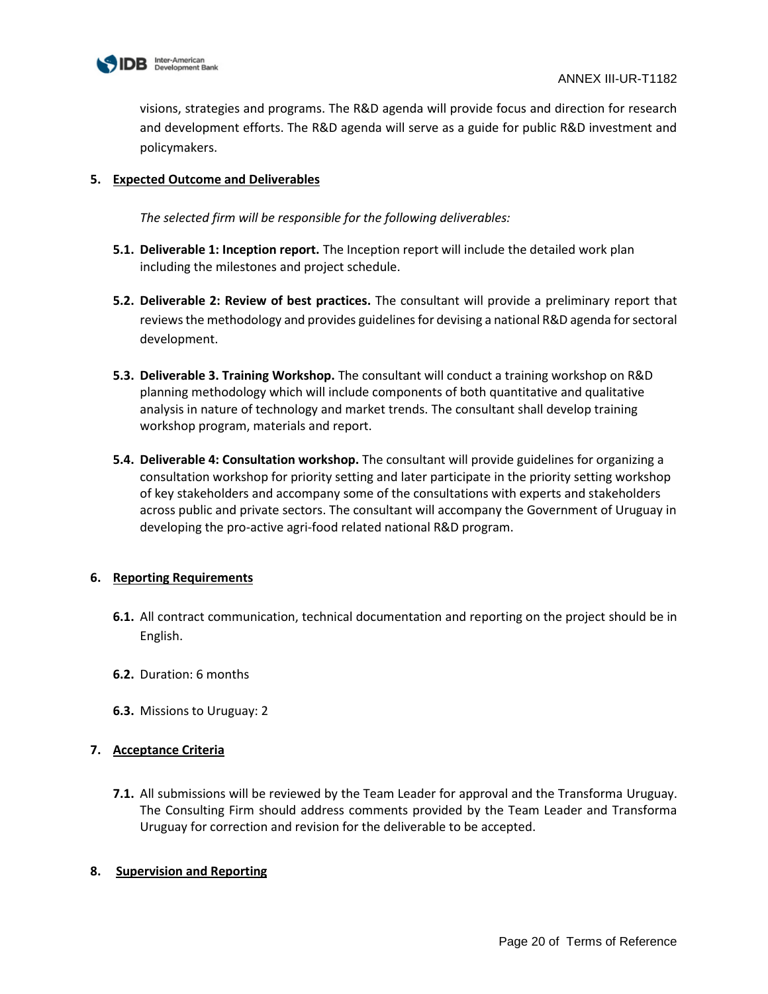

visions, strategies and programs. The R&D agenda will provide focus and direction for research and development efforts. The R&D agenda will serve as a guide for public R&D investment and policymakers.

# **5. Expected Outcome and Deliverables**

*The selected firm will be responsible for the following deliverables:* 

- **5.1. Deliverable 1: Inception report.** The Inception report will include the detailed work plan including the milestones and project schedule.
- **5.2. Deliverable 2: Review of best practices.** The consultant will provide a preliminary report that reviewsthe methodology and provides guidelines for devising a national R&D agenda for sectoral development.
- **5.3. Deliverable 3. Training Workshop.** The consultant will conduct a training workshop on R&D planning methodology which will include components of both quantitative and qualitative analysis in nature of technology and market trends. The consultant shall develop training workshop program, materials and report.
- **5.4. Deliverable 4: Consultation workshop.** The consultant will provide guidelines for organizing a consultation workshop for priority setting and later participate in the priority setting workshop of key stakeholders and accompany some of the consultations with experts and stakeholders across public and private sectors. The consultant will accompany the Government of Uruguay in developing the pro-active agri-food related national R&D program.

#### **6. Reporting Requirements**

- **6.1.** All contract communication, technical documentation and reporting on the project should be in English.
- **6.2.** Duration: 6 months
- **6.3.** Missions to Uruguay: 2

# **7. Acceptance Criteria**

**7.1.** All submissions will be reviewed by the Team Leader for approval and the Transforma Uruguay. The Consulting Firm should address comments provided by the Team Leader and Transforma Uruguay for correction and revision for the deliverable to be accepted.

#### **8. Supervision and Reporting**